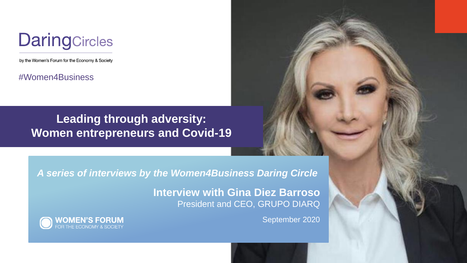## **DaringCircles**

by the Women's Forum for the Economy & Society

#Women4Business

### **Leading through adversity: Women entrepreneurs and Covid-19**

*A series of interviews by the Women4Business Daring Circle*

**Interview with Gina Diez Barroso** President and CEO, GRUPO DIARQ



September 2020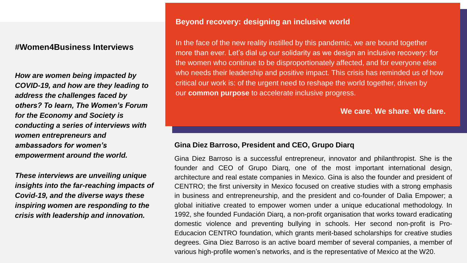#### **#Women4Business Interviews**

*How are women being impacted by COVID-19, and how are they leading to address the challenges faced by others? To learn, The Women's Forum for the Economy and Society is conducting a series of interviews with women entrepreneurs and ambassadors for women's empowerment around the world.* 

*These interviews are unveiling unique insights into the far-reaching impacts of Covid-19, and the diverse ways these inspiring women are responding to the crisis with leadership and innovation.*

#### **Beyond recovery: designing an inclusive world**

In the face of the new reality instilled by this pandemic, we are bound together more than ever. Let's dial up our solidarity as we design an inclusive recovery: for the women who continue to be disproportionately affected, and for everyone else who needs their leadership and positive impact. This crisis has reminded us of how critical our work is: of the urgent need to reshape the world together, driven by our **common purpose** to accelerate inclusive progress.

**We care**. **We share**. **We dare.**

#### **Gina Diez Barroso, President and CEO, Grupo Diarq**

Gina Diez Barroso is a successful entrepreneur, innovator and philanthropist. She is the founder and CEO of Grupo Diarq, one of the most important international design, architecture and real estate companies in Mexico. Gina is also the founder and president of CENTRO; the first university in Mexico focused on creative studies with a strong emphasis in business and entrepreneurship, and the president and co-founder of Dalia Empower; a global initiative created to empower women under a unique educational methodology. In 1992, she founded Fundación Diarq, a non-profit organisation that works toward eradicating domestic violence and preventing bullying in schools. Her second non-profit is Pro-Educacion CENTRO foundation, which grants merit-based scholarships for creative studies degrees. Gina Diez Barroso is an active board member of several companies, a member of various high-profile women's networks, and is the representative of Mexico at the W20.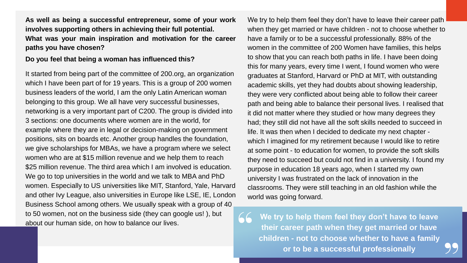**As well as being a successful entrepreneur, some of your work involves supporting others in achieving their full potential. What was your main inspiration and motivation for the career paths you have chosen?**

#### **Do you feel that being a woman has influenced this?**

It started from being part of the committee of 200.org, an organization which I have been part of for 19 years. This is a group of 200 women business leaders of the world, I am the only Latin American woman belonging to this group. We all have very successful businesses, networking is a very important part of C200. The group is divided into 3 sections: one documents where women are in the world, for example where they are in legal or decision-making on government positions, sits on boards etc. Another group handles the foundation, we give scholarships for MBAs, we have a program where we select women who are at \$15 million revenue and we help them to reach \$25 million revenue. The third area which I am involved is education. We go to top universities in the world and we talk to MBA and PhD women. Especially to US universities like MIT, Stanford, Yale, Harvard and other Ivy League, also universities in Europe like LSE, IE, London Business School among others. We usually speak with a group of 40 to 50 women, not on the business side (they can google us! ), but about our human side, on how to balance our lives.

We try to help them feel they don't have to leave their career path when they get married or have children - not to choose whether to have a family or to be a successful professionally. 88% of the women in the committee of 200 Women have families, this helps to show that you can reach both paths in life. I have been doing this for many years, every time I went, I found women who were graduates at Stanford, Harvard or PhD at MIT, with outstanding academic skills, yet they had doubts about showing leadership, they were very conflicted about being able to follow their career path and being able to balance their personal lives. I realised that it did not matter where they studied or how many degrees they had; they still did not have all the soft skills needed to succeed in life. It was then when I decided to dedicate my next chapter which I imagined for my retirement because I would like to retire at some point - to education for women, to provide the soft skills they need to succeed but could not find in a university. I found my purpose in education 18 years ago, when I started my own university I was frustrated on the lack of innovation in the classrooms. They were still teaching in an old fashion while the world was going forward.

**We try to help them feel they don't have to leave their career path when they get married or have children - not to choose whether to have a family or to be a successful professionally**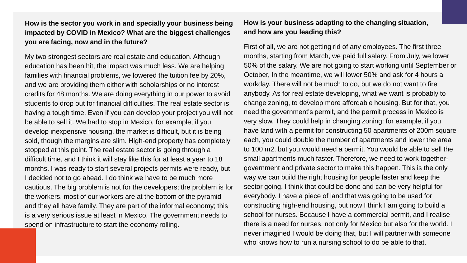#### **How is the sector you work in and specially your business being impacted by COVID in Mexico? What are the biggest challenges you are facing, now and in the future?**

My two strongest sectors are real estate and education. Although education has been hit, the impact was much less. We are helping families with financial problems, we lowered the tuition fee by 20%, and we are providing them either with scholarships or no interest credits for 48 months. We are doing everything in our power to avoid students to drop out for financial difficulties. The real estate sector is having a tough time. Even if you can develop your project you will not be able to sell it. We had to stop in Mexico, for example, if you develop inexpensive housing, the market is difficult, but it is being sold, though the margins are slim. High-end property has completely stopped at this point. The real estate sector is going through a difficult time, and I think it will stay like this for at least a year to 18 months. I was ready to start several projects permits were ready, but I decided not to go ahead. I do think we have to be much more cautious. The big problem is not for the developers; the problem is for the workers, most of our workers are at the bottom of the pyramid and they all have family. They are part of the informal economy; this is a very serious issue at least in Mexico. The government needs to spend on infrastructure to start the economy rolling.

#### **How is your business adapting to the changing situation, and how are you leading this?**

First of all, we are not getting rid of any employees. The first three months, starting from March, we paid full salary. From July, we lower 50% of the salary. We are not going to start working until September or October, In the meantime, we will lower 50% and ask for 4 hours a workday. There will not be much to do, but we do not want to fire anybody. As for real estate developing, what we want is probably to change zoning, to develop more affordable housing. But for that, you need the government's permit, and the permit process in Mexico is very slow. They could help in changing zoning: for example, if you have land with a permit for constructing 50 apartments of 200m square each, you could double the number of apartments and lower the area to 100 m2, but you would need a permit. You would be able to sell the small apartments much faster. Therefore, we need to work togethergovernment and private sector to make this happen. This is the only way we can build the right housing for people faster and keep the sector going. I think that could be done and can be very helpful for everybody. I have a piece of land that was going to be used for constructing high-end housing, but now I think I am going to build a school for nurses. Because I have a commercial permit, and I realise there is a need for nurses, not only for Mexico but also for the world. I never imagined I would be doing that, but I will partner with someone who knows how to run a nursing school to do be able to that.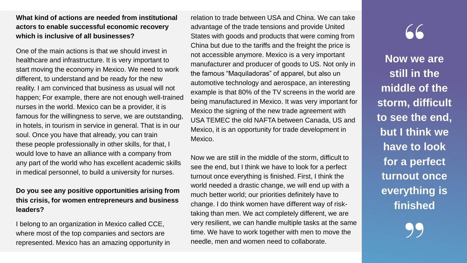#### **What kind of actions are needed from institutional actors to enable successful economic recovery which is inclusive of all businesses?**

One of the main actions is that we should invest in healthcare and infrastructure. It is very important to start moving the economy in Mexico. We need to work different, to understand and be ready for the new reality. I am convinced that business as usual will not happen; For example, there are not enough well-trained nurses in the world. Mexico can be a provider, it is famous for the willingness to serve, we are outstanding, in hotels, in tourism in service in general. That is in our soul. Once you have that already, you can train these people professionally in other skills, for that, I would love to have an alliance with a company from any part of the world who has excellent academic skills in medical personnel, to build a university for nurses.

#### **Do you see any positive opportunities arising from this crisis, for women entrepreneurs and business leaders?**

I belong to an organization in Mexico called CCE, where most of the top companies and sectors are represented. Mexico has an amazing opportunity in relation to trade between USA and China. We can take advantage of the trade tensions and provide United States with goods and products that were coming from China but due to the tariffs and the freight the price is not accessible anymore. Mexico is a very important manufacturer and producer of goods to US. Not only in the famous "Maquiladoras" of apparel, but also un automotive technology and aerospace, an interesting example is that 80% of the TV screens in the world are being manufactured in Mexico. It was very important for Mexico the signing of the new trade agreement with USA TEMEC the old NAFTA between Canada, US and Mexico, it is an opportunity for trade development in Mexico.

Now we are still in the middle of the storm, difficult to see the end, but I think we have to look for a perfect turnout once everything is finished. First, I think the world needed a drastic change, we will end up with a much better world; our priorities definitely have to change. I do think women have different way of risktaking than men. We act completely different, we are very resilient, we can handle multiple tasks at the same time. We have to work together with men to move the needle, men and women need to collaborate.

# $66$

**Now we are still in the middle of the storm, difficult to see the end, but I think we have to look for a perfect turnout once everything is finished**

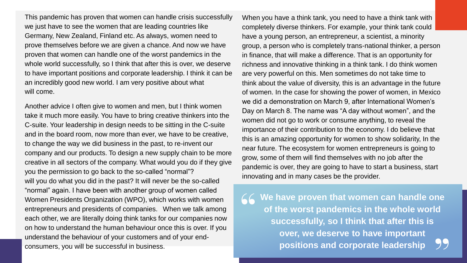This pandemic has proven that women can handle crisis successfully we just have to see the women that are leading countries like Germany, New Zealand, Finland etc. As always, women need to prove themselves before we are given a chance. And now we have proven that women can handle one of the worst pandemics in the whole world successfully, so I think that after this is over, we deserve to have important positions and corporate leadership. I think it can be an incredibly good new world. I am very positive about what will come.

Another advice I often give to women and men, but I think women take it much more easily. You have to bring creative thinkers into the C-suite. Your leadership in design needs to be sitting in the C-suite and in the board room, now more than ever, we have to be creative, to change the way we did business in the past, to re-invent our company and our products. To design a new supply chain to be more creative in all sectors of the company. What would you do if they give you the permission to go back to the so-called "normal"? will you do what you did in the past? It will never be the so-called "normal" again. I have been with another group of women called Women Presidents Organization (WPO), which works with women entrepreneurs and presidents of companies. When we talk among each other, we are literally doing think tanks for our companies now on how to understand the human behaviour once this is over. If you understand the behaviour of your customers and of your endconsumers, you will be successful in business.

When you have a think tank, you need to have a think tank with completely diverse thinkers. For example, your think tank could have a young person, an entrepreneur, a scientist, a minority group, a person who is completely trans-national thinker, a person in finance, that will make a difference. That is an opportunity for richness and innovative thinking in a think tank. I do think women are very powerful on this. Men sometimes do not take time to think about the value of diversity, this is an advantage in the future of women. In the case for showing the power of women, in Mexico we did a demonstration on March 9, after International Women's Day on March 8. The name was "A day without women", and the women did not go to work or consume anything, to reveal the importance of their contribution to the economy. I do believe that this is an amazing opportunity for women to show solidarity, In the near future. The ecosystem for women entrepreneurs is going to grow, some of them will find themselves with no job after the pandemic is over, they are going to have to start a business, start innovating and in many cases be the provider.

**We have proven that women can handle one of the worst pandemics in the whole world successfully, so I think that after this is over, we deserve to have important positions and corporate leadership**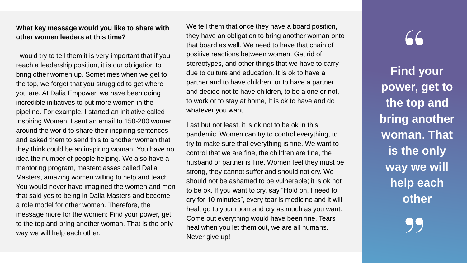#### **What key message would you like to share with other women leaders at this time?**

I would try to tell them it is very important that if you reach a leadership position, it is our obligation to bring other women up. Sometimes when we get to the top, we forget that you struggled to get where you are. At Dalia Empower, we have been doing incredible initiatives to put more women in the pipeline. For example, I started an initiative called Inspiring Women. I sent an email to 150-200 women around the world to share their inspiring sentences and asked them to send this to another woman that they think could be an inspiring woman. You have no idea the number of people helping. We also have a mentoring program, masterclasses called Dalia Masters, amazing women willing to help and teach. You would never have imagined the women and men that said yes to being in Dalia Masters and become a role model for other women. Therefore, the message more for the women: Find your power, get to the top and bring another woman. That is the only way we will help each other.

We tell them that once they have a board position, they have an obligation to bring another woman onto that board as well. We need to have that chain of positive reactions between women. Get rid of stereotypes, and other things that we have to carry due to culture and education. It is ok to have a partner and to have children, or to have a partner and decide not to have children, to be alone or not, to work or to stay at home, It is ok to have and do whatever you want.

Last but not least, it is ok not to be ok in this pandemic. Women can try to control everything, to try to make sure that everything is fine. We want to control that we are fine, the children are fine, the husband or partner is fine. Women feel they must be strong, they cannot suffer and should not cry. We should not be ashamed to be vulnerable; it is ok not to be ok. If you want to cry, say "Hold on, I need to cry for 10 minutes", every tear is medicine and it will heal, go to your room and cry as much as you want. Come out everything would have been fine. Tears heal when you let them out, we are all humans. Never give up!

## $66$

**Find your power, get to the top and bring another woman. That is the only way we will help each other**